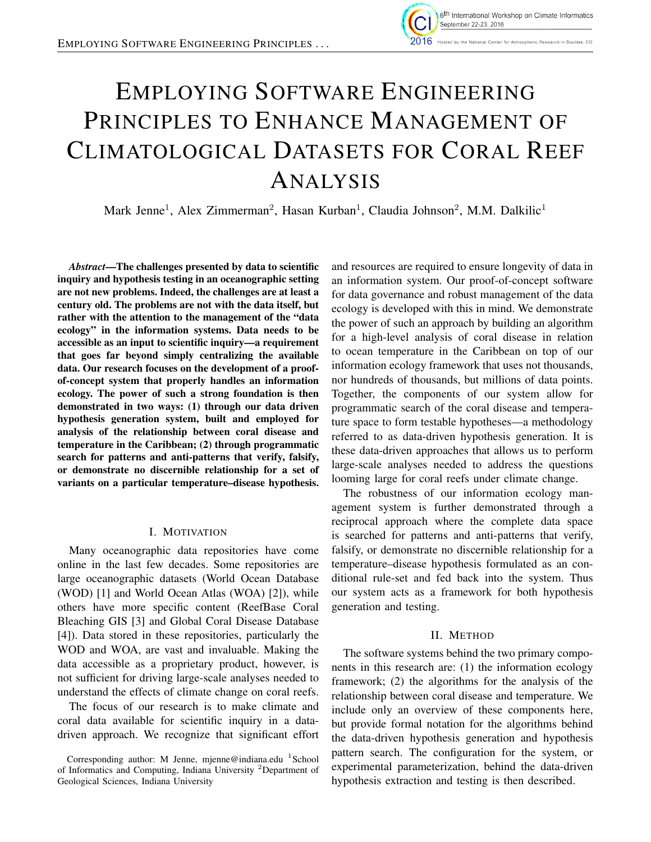

# EMPLOYING SOFTWARE ENGINEERING PRINCIPLES TO ENHANCE MANAGEMENT OF CLIMATOLOGICAL DATASETS FOR CORAL REEF ANALYSIS

Mark Jenne<sup>1</sup>, Alex Zimmerman<sup>2</sup>, Hasan Kurban<sup>1</sup>, Claudia Johnson<sup>2</sup>, M.M. Dalkilic<sup>1</sup>

*Abstract*—The challenges presented by data to scientific inquiry and hypothesis testing in an oceanographic setting are not new problems. Indeed, the challenges are at least a century old. The problems are not with the data itself, but rather with the attention to the management of the "data ecology" in the information systems. Data needs to be accessible as an input to scientific inquiry—a requirement that goes far beyond simply centralizing the available data. Our research focuses on the development of a proofof-concept system that properly handles an information ecology. The power of such a strong foundation is then demonstrated in two ways: (1) through our data driven hypothesis generation system, built and employed for analysis of the relationship between coral disease and temperature in the Caribbean; (2) through programmatic search for patterns and anti-patterns that verify, falsify, or demonstrate no discernible relationship for a set of variants on a particular temperature–disease hypothesis.

### I. MOTIVATION

Many oceanographic data repositories have come online in the last few decades. Some repositories are large oceanographic datasets (World Ocean Database (WOD) [1] and World Ocean Atlas (WOA) [2]), while others have more specific content (ReefBase Coral Bleaching GIS [3] and Global Coral Disease Database [4]). Data stored in these repositories, particularly the WOD and WOA, are vast and invaluable. Making the data accessible as a proprietary product, however, is not sufficient for driving large-scale analyses needed to understand the effects of climate change on coral reefs.

The focus of our research is to make climate and coral data available for scientific inquiry in a datadriven approach. We recognize that significant effort and resources are required to ensure longevity of data in an information system. Our proof-of-concept software for data governance and robust management of the data ecology is developed with this in mind. We demonstrate the power of such an approach by building an algorithm for a high-level analysis of coral disease in relation to ocean temperature in the Caribbean on top of our information ecology framework that uses not thousands, nor hundreds of thousands, but millions of data points. Together, the components of our system allow for programmatic search of the coral disease and temperature space to form testable hypotheses—a methodology referred to as data-driven hypothesis generation. It is these data-driven approaches that allows us to perform large-scale analyses needed to address the questions looming large for coral reefs under climate change.

The robustness of our information ecology management system is further demonstrated through a reciprocal approach where the complete data space is searched for patterns and anti-patterns that verify, falsify, or demonstrate no discernible relationship for a temperature–disease hypothesis formulated as an conditional rule-set and fed back into the system. Thus our system acts as a framework for both hypothesis generation and testing.

#### II. METHOD

The software systems behind the two primary components in this research are: (1) the information ecology framework; (2) the algorithms for the analysis of the relationship between coral disease and temperature. We include only an overview of these components here, but provide formal notation for the algorithms behind the data-driven hypothesis generation and hypothesis pattern search. The configuration for the system, or experimental parameterization, behind the data-driven hypothesis extraction and testing is then described.

Corresponding author: M Jenne, mjenne@indiana.edu <sup>1</sup>School of Informatics and Computing, Indiana University <sup>2</sup>Department of Geological Sciences, Indiana University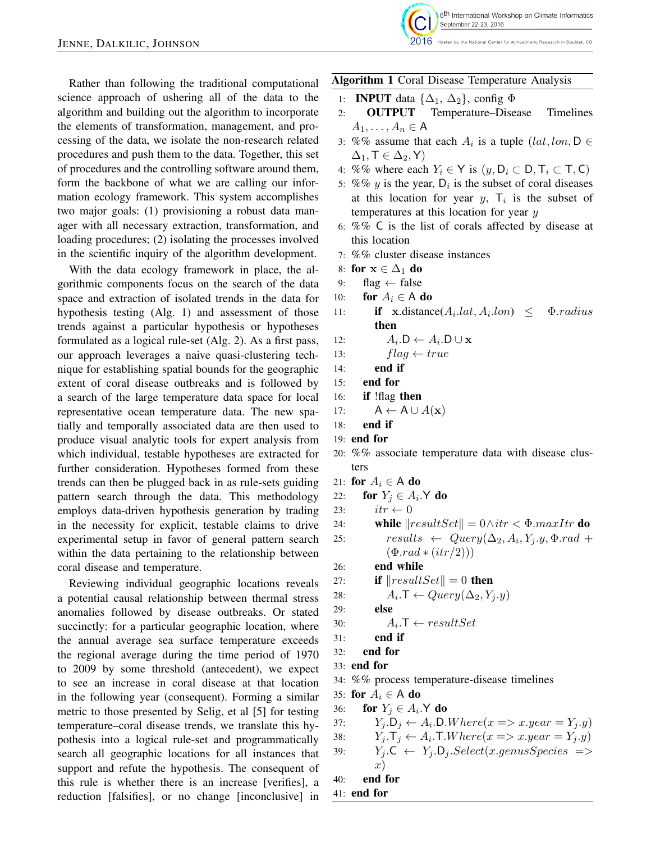

2016 Hosted by the National Center for Atmospheric Research in Boulder, CO

Rather than following the traditional computational science approach of ushering all of the data to the algorithm and building out the algorithm to incorporate the elements of transformation, management, and processing of the data, we isolate the non-research related procedures and push them to the data. Together, this set of procedures and the controlling software around them, form the backbone of what we are calling our information ecology framework. This system accomplishes two major goals: (1) provisioning a robust data manager with all necessary extraction, transformation, and loading procedures; (2) isolating the processes involved in the scientific inquiry of the algorithm development.

With the data ecology framework in place, the algorithmic components focus on the search of the data space and extraction of isolated trends in the data for hypothesis testing (Alg. 1) and assessment of those trends against a particular hypothesis or hypotheses formulated as a logical rule-set (Alg. 2). As a first pass, our approach leverages a naive quasi-clustering technique for establishing spatial bounds for the geographic extent of coral disease outbreaks and is followed by a search of the large temperature data space for local representative ocean temperature data. The new spatially and temporally associated data are then used to produce visual analytic tools for expert analysis from which individual, testable hypotheses are extracted for further consideration. Hypotheses formed from these trends can then be plugged back in as rule-sets guiding pattern search through the data. This methodology employs data-driven hypothesis generation by trading in the necessity for explicit, testable claims to drive experimental setup in favor of general pattern search within the data pertaining to the relationship between coral disease and temperature.

Reviewing individual geographic locations reveals a potential causal relationship between thermal stress anomalies followed by disease outbreaks. Or stated succinctly: for a particular geographic location, where the annual average sea surface temperature exceeds the regional average during the time period of 1970 to 2009 by some threshold (antecedent), we expect to see an increase in coral disease at that location in the following year (consequent). Forming a similar metric to those presented by Selig, et al [5] for testing temperature–coral disease trends, we translate this hypothesis into a logical rule-set and programmatically search all geographic locations for all instances that support and refute the hypothesis. The consequent of this rule is whether there is an increase [verifies], a reduction [falsifies], or no change [inconclusive] in

#### Algorithm 1 Coral Disease Temperature Analysis

- 1: **INPUT** data  $\{\Delta_1, \Delta_2\}$ , config  $\Phi$
- 2: OUTPUT Temperature–Disease Timelines  $A_1, \ldots, A_n \in A$
- 3: %% assume that each  $A_i$  is a tuple  $(lat,lon, D \in \mathbb{R})$  $\Delta_1, \mathsf{T} \in \Delta_2, \mathsf{Y}$
- 4: %% where each  $Y_i \in Y$  is  $(y, D_i \subset D, T_i \subset T, C)$
- 5: %% y is the year,  $D_i$  is the subset of coral diseases at this location for year  $y$ ,  $T_i$  is the subset of temperatures at this location for year y
- 6: %% C is the list of corals affected by disease at this location
- 7: %% cluster disease instances
- 8: for  $x \in \Delta_1$  do
- 9: flag  $\leftarrow$  false
- 10: for  $A_i \in A$  do
- 11: **if**  $\mathbf{x}$ .distance( $A_i$ .lat,  $A_i$  $\Phi$ .radius then
- 12:  $A_i \cdot D \leftarrow A_i \cdot D \cup \mathbf{x}$

13: 
$$
flag \leftarrow true
$$

- 14: end if
- 15: end for
- 16: if !flag then
- 17:  $A \leftarrow A \cup A(\mathbf{x})$
- 18: end if
- 19: end for
- 20: %% associate temperature data with disease clusters
- 21: for  $A_i \in A$  do
- 22: for  $Y_j \in A_i$ . Y do
- 23:  $itr \leftarrow 0$
- 24: while  $\|resultSet\| = 0 \wedge itr < \Phi.maxItr$  do 25:  $results \leftarrow Query(\Delta_2, A_i, Y_j.y, \Phi.read +$  $(\Phi$ *rad*  $*(itr/2))$
- 26: end while
- 27: **if**  $\|resultSet\| = 0$  then
- 28:  $A_i.\mathsf{T} \leftarrow Query(\Delta_2, Y_j.y)$
- 29: else

```
30: A_i. T \leftarrow \text{resultSet}
```
- 31: end if
- 32: end for
- 33: end for
- 34: %% process temperature-disease timelines
- 35: for  $A_i \in A$  do
- 36: for  $Y_j \in A_i$ . Y do
- 37:  $Y_j \cdot D_j \leftarrow A_i \cdot D.W \text{ here}(x \Rightarrow x \cdot \text{year} = Y_j \cdot y)$ 38:  $Y_j \cdot \mathsf{T}_j \leftarrow A_i \cdot \mathsf{T}. Where(x \implies x.year = Y_j \cdot y)$ 39:  $Y_i$ . $C \leftarrow Y_i$ . $D_i$ . $Select(x.genus Species \implies$  $x)$ 40: end for

```
41: end for
```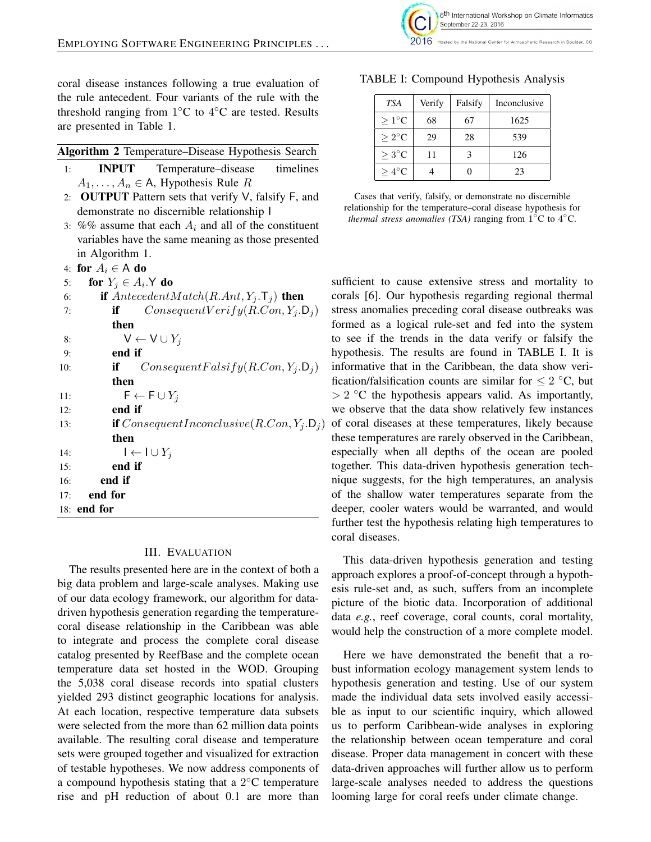coral disease instances following a true evaluation of the rule antecedent. Four variants of the rule with the threshold ranging from  $1^{\circ}$ C to  $4^{\circ}$ C are tested. Results are presented in Table 1.

| Algorithm 2 Temperature-Disease Hypothesis Search |  |
|---------------------------------------------------|--|
|---------------------------------------------------|--|

- 1: INPUT Temperature–disease timelines  $A_1, \ldots, A_n \in A$ , Hypothesis Rule R
- 2: OUTPUT Pattern sets that verify V, falsify F, and demonstrate no discernible relationship I
- 3:  $%$ % assume that each  $A_i$  and all of the constituent variables have the same meaning as those presented in Algorithm 1.

4: for  $A_i \in A$  do

```
5: for Y_j \in A_i. Y do
```

```
6: if AntecedentMatch(R.Ant, Y_i, T_i) then
7: if Consequently erify(R. Con, Y_i.D_i)then
8: V \leftarrow V \cup Y_j9: end if
10: if ConsequentFalsify(R.Con, Y_i.D_i)then
11: \qquad \qquad \mathsf{F} \leftarrow \mathsf{F} \cup Y_i12: end if
13: if ConsequentInconclusive (R. Con, Y_i, D_i)then
14: \mathsf{l} \leftarrow \mathsf{l} \cup Y_i15: end if
16: end if
17<sub>·</sub> end for
18: end for
```
#### III. EVALUATION

The results presented here are in the context of both a big data problem and large-scale analyses. Making use of our data ecology framework, our algorithm for datadriven hypothesis generation regarding the temperaturecoral disease relationship in the Caribbean was able to integrate and process the complete coral disease catalog presented by ReefBase and the complete ocean temperature data set hosted in the WOD. Grouping the 5,038 coral disease records into spatial clusters yielded 293 distinct geographic locations for analysis. At each location, respective temperature data subsets were selected from the more than 62 million data points available. The resulting coral disease and temperature sets were grouped together and visualized for extraction of testable hypotheses. We now address components of a compound hypothesis stating that a  $2^{\circ}$ C temperature rise and pH reduction of about 0.1 are more than



Hosted by the National Center for Atmospheric Research in Boulder, CO

| <b>TSA</b>        | Verify | Falsify | Inconclusive |
|-------------------|--------|---------|--------------|
| $>1^{\circ}C$     | 68     | 67      | 1625         |
| $>2^{\circ}C$     | 29     | 28      | 539          |
| $\geq 3^{\circ}C$ | 11     |         | 126          |
| $>4^{\circ}C$     |        |         | 23           |

TABLE I: Compound Hypothesis Analysis

Cases that verify, falsify, or demonstrate no discernible relationship for the temperature–coral disease hypothesis for *thermal stress anomalies (TSA)* ranging from  $1^{\circ}$ C to  $4^{\circ}$ C.

sufficient to cause extensive stress and mortality to corals [6]. Our hypothesis regarding regional thermal stress anomalies preceding coral disease outbreaks was formed as a logical rule-set and fed into the system to see if the trends in the data verify or falsify the hypothesis. The results are found in TABLE I. It is informative that in the Caribbean, the data show verification/falsification counts are similar for  $\leq 2$  °C, but  $> 2$  °C the hypothesis appears valid. As importantly, we observe that the data show relatively few instances of coral diseases at these temperatures, likely because these temperatures are rarely observed in the Caribbean, especially when all depths of the ocean are pooled together. This data-driven hypothesis generation technique suggests, for the high temperatures, an analysis of the shallow water temperatures separate from the deeper, cooler waters would be warranted, and would further test the hypothesis relating high temperatures to coral diseases.

This data-driven hypothesis generation and testing approach explores a proof-of-concept through a hypothesis rule-set and, as such, suffers from an incomplete picture of the biotic data. Incorporation of additional data *e.g.*, reef coverage, coral counts, coral mortality, would help the construction of a more complete model.

Here we have demonstrated the benefit that a robust information ecology management system lends to hypothesis generation and testing. Use of our system made the individual data sets involved easily accessible as input to our scientific inquiry, which allowed us to perform Caribbean-wide analyses in exploring the relationship between ocean temperature and coral disease. Proper data management in concert with these data-driven approaches will further allow us to perform large-scale analyses needed to address the questions looming large for coral reefs under climate change.